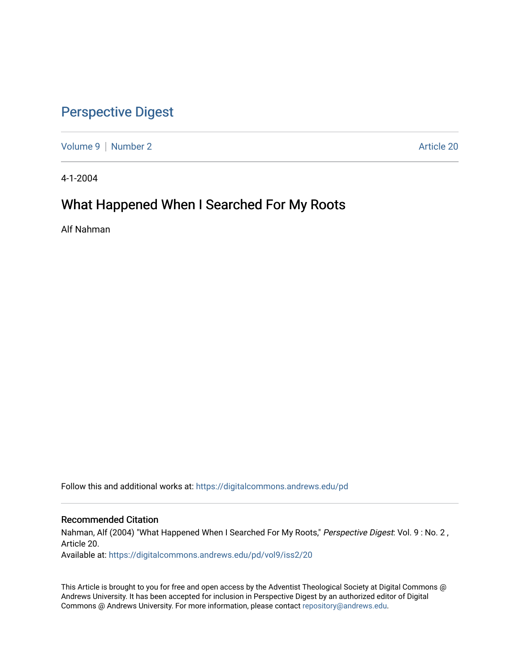## [Perspective Digest](https://digitalcommons.andrews.edu/pd)

[Volume 9](https://digitalcommons.andrews.edu/pd/vol9) | [Number 2](https://digitalcommons.andrews.edu/pd/vol9/iss2) Article 20

4-1-2004

## What Happened When I Searched For My Roots

Alf Nahman

Follow this and additional works at: [https://digitalcommons.andrews.edu/pd](https://digitalcommons.andrews.edu/pd?utm_source=digitalcommons.andrews.edu%2Fpd%2Fvol9%2Fiss2%2F20&utm_medium=PDF&utm_campaign=PDFCoverPages)

#### Recommended Citation

Nahman, Alf (2004) "What Happened When I Searched For My Roots," Perspective Digest: Vol. 9: No. 2, Article 20.

Available at: [https://digitalcommons.andrews.edu/pd/vol9/iss2/20](https://digitalcommons.andrews.edu/pd/vol9/iss2/20?utm_source=digitalcommons.andrews.edu%2Fpd%2Fvol9%2Fiss2%2F20&utm_medium=PDF&utm_campaign=PDFCoverPages)

This Article is brought to you for free and open access by the Adventist Theological Society at Digital Commons @ Andrews University. It has been accepted for inclusion in Perspective Digest by an authorized editor of Digital Commons @ Andrews University. For more information, please contact [repository@andrews.edu.](mailto:repository@andrews.edu)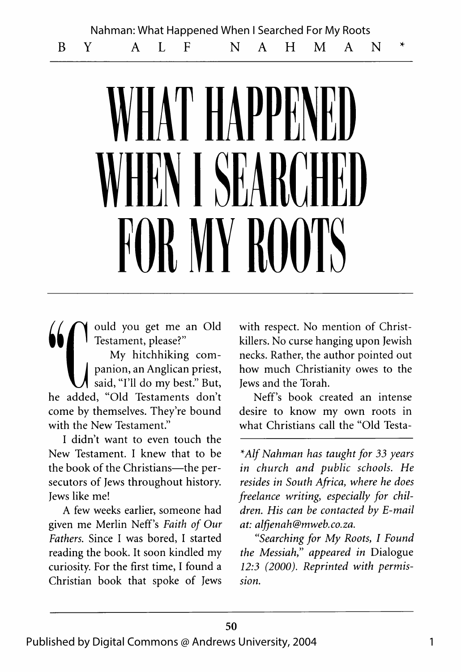Nahman: What Happened When I Searched For My Roots

**BY A L F N A H M A N \***

# IAT HAPPE **WHEN I SEARCHED** FOR MY ROOTS

**1990 Market School of Testament, please?"**<br>
My hitchhiking com-1 Testament, please?"

I My hitchhiking com-| **| panion, an Anglican priest,** said, "I'll do my best." But, he added, "Old Testaments don't come by themselves. They're bound with the New Testament."

I didn't want to even touch the New Testament. I knew that to be the book of the Christians— the persecutors of Jews throughout history. Jews like me!

A few weeks earlier, someone had given me Merlin Neff's *Faith of Our Fathers.* Since I was bored, I started reading the book. It soon kindled my curiosity. For the first time, I found a Christian book that spoke of Jews

with respect. No mention of Christkillers. No curse hanging upon Jewish necks. Rather, the author pointed out how much Christianity owes to the Jews and the Torah.

Neff's book created an intense desire to know my own roots in what Christians call the "Old Testa-

*\*Alf Nahman has taught for 33 years in church and public schools. He resides in South Africa*, *where he does freelance writing, especially for children. His can be contacted by E-mail at: [alfjenah@mweb.co.za.](mailto:alfjenah@mweb.co.za)*

*"Searching for My Roots*, *I Found the Messiah*," *appeared in* Dialogue *12:3 (2000). Reprinted with permission.*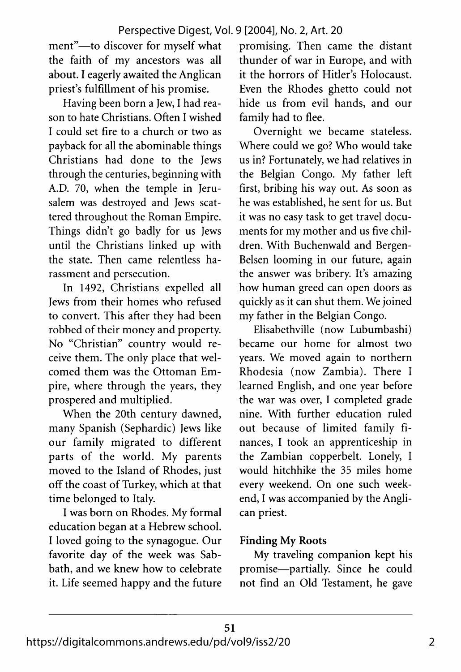ment"— to discover for myself what the faith of my ancestors was all about. I eagerly awaited the Anglican priest's fulfillment of his promise.

Having been born a Jew, I had reason to hate Christians. Often I wished I could set fire to a church or two as payback for all the abominable things Christians had done to the Jews through the centuries, beginning with A.D. 70, when the temple in Jerusalem was destroyed and Jews scattered throughout the Roman Empire. Things didn't go badly for us Jews until the Christians linked up with the state. Then came relentless harassment and persecution.

In 1492, Christians expelled all Jews from their homes who refused to convert. This after they had been robbed of their money and property. No "Christian" country would receive them. The only place that welcomed them was the Ottoman Empire, where through the years, they prospered and multiplied.

When the 20th century dawned, many Spanish (Sephardic) Jews like our family migrated to different parts of the world. My parents moved to the Island of Rhodes, just off the coast of Turkey, which at that time belonged to Italy.

I was born on Rhodes. My formal education began at a Hebrew school. I loved going to the synagogue. Our favorite day of the week was Sabbath, and we knew how to celebrate it. Life seemed happy and the future promising. Then came the distant thunder of war in Europe, and with it the horrors of Hitler's Holocaust. Even the Rhodes ghetto could not hide us from evil hands, and our family had to flee.

Overnight we became stateless. Where could we go? Who would take us in? Fortunately, we had relatives in the Belgian Congo. My father left first, bribing his way out. As soon as he was established, he sent for us. But it was no easy task to get travel documents for my mother and us five children. With Buchenwald and Bergen-Belsen looming in our future, again the answer was bribery. It's amazing how human greed can open doors as quickly as it can shut them. We joined my father in the Belgian Congo.

Elisabethville (now Lubumbashi) became our home for almost two years. We moved again to northern Rhodesia (now Zambia). There I learned English, and one year before the war was over, I completed grade nine. With further education ruled out because of limited family finances, I took an apprenticeship in the Zambian copperbelt. Lonely, I would hitchhike the 35 miles home every weekend. On one such weekend, I was accompanied by the Anglican priest.

### **Finding My Roots**

My traveling companion kept his promise— partially. Since he could not find an Old Testament, he gave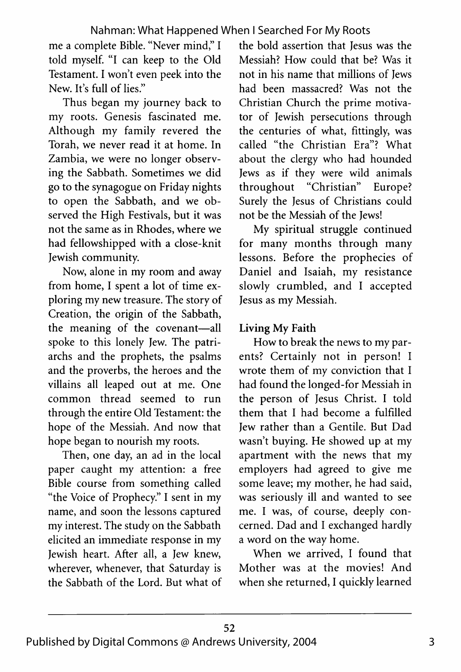me a complete Bible. "Never mind," I told myself. "I can keep to the Old Testament. I won't even peek into the New. It's full of lies."

Thus began my journey back to my roots. Genesis fascinated me. Although my family revered the Torah, we never read it at home. In Zambia, we were no longer observing the Sabbath. Sometimes we did go to the synagogue on Friday nights to open the Sabbath, and we observed the High Festivals, but it was not the same as in Rhodes, where we had fellowshipped with a close-knit Jewish community.

Now, alone in my room and away from home, I spent a lot of time exploring my new treasure. The story of Creation, the origin of the Sabbath, the meaning of the covenant-all spoke to this lonely Jew. The patriarchs and the prophets, the psalms and the proverbs, the heroes and the villains all leaped out at me. One common thread seemed to run through the entire Old Testament: the hope of the Messiah. And now that hope began to nourish my roots.

Then, one day, an ad in the local paper caught my attention: a free Bible course from something called "the Voice of Prophecy." I sent in my name, and soon the lessons captured my interest. The study on the Sabbath elicited an immediate response in my Jewish heart. After all, a Jew knew, wherever, whenever, that Saturday is the Sabbath of the Lord. But what of the bold assertion that Jesus was the Messiah? How could that be? Was it not in his name that millions of Jews had been massacred? Was not the Christian Church the prime motivator of Jewish persecutions through the centuries of what, fittingly, was called "the Christian Era"? What about the clergy who had hounded Jews as if they were wild animals throughout "Christian" Europe? Surely the Jesus of Christians could not be the Messiah of the Jews!

My spiritual struggle continued for many months through many lessons. Before the prophecies of Daniel and Isaiah, my resistance slowly crumbled, and I accepted Jesus as my Messiah.

### Living My Faith

How to break the news to my parents? Certainly not in person! I wrote them of my conviction that I had found the longed-for Messiah in the person of Jesus Christ. I told them that I had become a fulfilled Jew rather than a Gentile. But Dad wasn't buying. He showed up at my apartment with the news that my employers had agreed to give me some leave; my mother, he had said, was seriously ill and wanted to see me. I was, of course, deeply concerned. Dad and I exchanged hardly a word on the way home.

When we arrived, I found that Mother was at the movies! And when she returned, I quickly learned